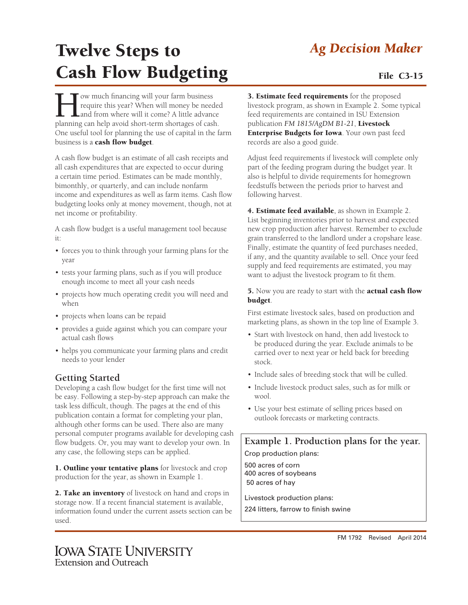### *Ag Decision Maker*

# Twelve Steps to Cash Flow Budgeting File C3-15

Tow much financing will your farm business<br>require this year? When will money be need<br>and from where will it come? A little advance<br>planning can beln avoid short-term shortages of cash require this year? When will money be needed and from where will it come? A little advance planning can help avoid short-term shortages of cash. One useful tool for planning the use of capital in the farm business is a cash flow budget.

A cash flow budget is an estimate of all cash receipts and all cash expenditures that are expected to occur during a certain time period. Estimates can be made monthly, bimonthly, or quarterly, and can include nonfarm income and expenditures as well as farm items. Cash flow budgeting looks only at money movement, though, not at net income or profitability.

A cash flow budget is a useful management tool because it:

- forces you to think through your farming plans for the year
- • tests your farming plans, such as if you will produce enough income to meet all your cash needs
- projects how much operating credit you will need and when
- projects when loans can be repaid
- provides a guide against which you can compare your actual cash flows
- helps you communicate your farming plans and credit needs to your lender

### **Getting Started**

Developing a cash flow budget for the first time will not be easy. Following a step-by-step approach can make the task less difficult, though. The pages at the end of this publication contain a format for completing your plan, although other forms can be used. There also are many personal computer programs available for developing cash flow budgets. Or, you may want to develop your own. In any case, the following steps can be applied.

1. Outline your tentative plans for livestock and crop production for the year, as shown in Example 1.

2. Take an inventory of livestock on hand and crops in storage now. If a recent financial statement is available, information found under the current assets section can be used.

3. Estimate feed requirements for the proposed livestock program, as shown in Example 2. Some typical feed requirements are contained in ISU Extension publication *FM 1815/AgDM B1-21*, Livestock Enterprise Budgets for Iowa. Your own past feed records are also a good guide.

Adjust feed requirements if livestock will complete only part of the feeding program during the budget year. It also is helpful to divide requirements for homegrown feedstuffs between the periods prior to harvest and following harvest.

4. Estimate feed available, as shown in Example 2. List beginning inventories prior to harvest and expected new crop production after harvest. Remember to exclude grain transferred to the landlord under a cropshare lease. Finally, estimate the quantity of feed purchases needed, if any, and the quantity available to sell. Once your feed supply and feed requirements are estimated, you may want to adjust the livestock program to fit them.

5. Now you are ready to start with the **actual cash flow** budget.

First estimate livestock sales, based on production and marketing plans, as shown in the top line of Example 3.

- Start with livestock on hand, then add livestock to be produced during the year. Exclude animals to be carried over to next year or held back for breeding stock.
- Include sales of breeding stock that will be culled.
- Include livestock product sales, such as for milk or wool.
- Use your best estimate of selling prices based on outlook forecasts or marketing contracts.

**Example 1. Production plans for the year.**

Crop production plans:

500 acres of corn 400 acres of soybeans 50 acres of hay

Livestock production plans:

224 litters, farrow to finish swine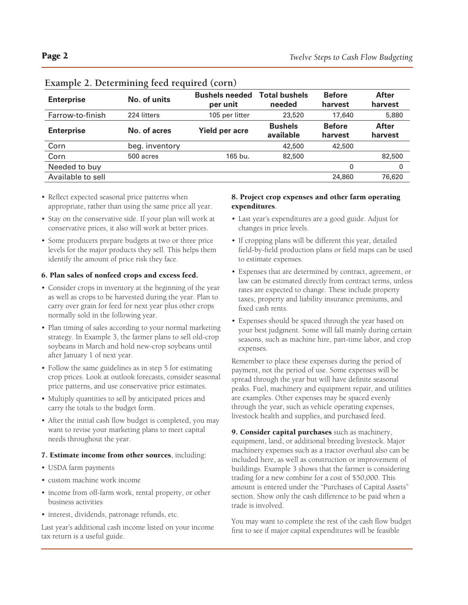| <b>Enterprise</b> | No. of units   | <b>Bushels needed</b><br>per unit | <b>Total bushels</b><br>needed | <b>Before</b><br>harvest | <b>After</b><br>harvest |
|-------------------|----------------|-----------------------------------|--------------------------------|--------------------------|-------------------------|
| Farrow-to-finish  | 224 litters    | 105 per litter                    | 23,520                         | 17,640                   | 5,880                   |
| <b>Enterprise</b> | No. of acres   | <b>Yield per acre</b>             | <b>Bushels</b><br>available    | <b>Before</b><br>harvest | <b>After</b><br>harvest |
| Corn              | beg. inventory |                                   | 42,500                         | 42,500                   |                         |
| Corn              | 500 acres      | 165 bu.                           | 82,500                         |                          | 82,500                  |
| Needed to buy     |                |                                   |                                | 0                        | 0                       |
| Available to sell |                |                                   |                                | 24,860                   | 76,620                  |

#### **Example 2. Determining feed required (corn)**

- Reflect expected seasonal price patterns when appropriate, rather than using the same price all year.
- Stay on the conservative side. If your plan will work at conservative prices, it also will work at better prices.
- • Some producers prepare budgets at two or three price levels for the major products they sell. This helps them identify the amount of price risk they face.

#### 6. Plan sales of nonfeed crops and excess feed.

- Consider crops in inventory at the beginning of the year as well as crops to be harvested during the year. Plan to carry over grain for feed for next year plus other crops normally sold in the following year.
- Plan timing of sales according to your normal marketing strategy. In Example 3, the farmer plans to sell old-crop soybeans in March and hold new-crop soybeans until after January 1 of next year.
- Follow the same guidelines as in step 5 for estimating crop prices. Look at outlook forecasts, consider seasonal price patterns, and use conservative price estimates.
- • Multiply quantities to sell by anticipated prices and carry the totals to the budget form.
- After the initial cash flow budget is completed, you may want to revise your marketing plans to meet capital needs throughout the year.

#### 7. Estimate income from other sources, including:

- • USDA farm payments
- • custom machine work income
- income from off-farm work, rental property, or other business activities
- interest, dividends, patronage refunds, etc.

Last year's additional cash income listed on your income tax return is a useful guide.

#### 8. Project crop expenses and other farm operating expenditures.

- Last year's expenditures are a good guide. Adjust for changes in price levels.
- If cropping plans will be different this year, detailed field-by-field production plans or field maps can be used to estimate expenses.
- • Expenses that are determined by contract, agreement, or law can be estimated directly from contract terms, unless rates are expected to change. These include property taxes, property and liability insurance premiums, and fixed cash rents.
- • Expenses should be spaced through the year based on your best judgment. Some will fall mainly during certain seasons, such as machine hire, part-time labor, and crop expenses.

Remember to place these expenses during the period of payment, not the period of use. Some expenses will be spread through the year but will have definite seasonal peaks. Fuel, machinery and equipment repair, and utilities are examples. Other expenses may be spaced evenly through the year, such as vehicle operating expenses, livestock health and supplies, and purchased feed.

9. Consider capital purchases such as machinery, equipment, land, or additional breeding livestock. Major machinery expenses such as a tractor overhaul also can be included here, as well as construction or improvement of buildings. Example 3 shows that the farmer is considering trading for a new combine for a cost of \$50,000. This amount is entered under the "Purchases of Capital Assets" section. Show only the cash difference to be paid when a trade is involved.

You may want to complete the rest of the cash flow budget first to see if major capital expenditures will be feasible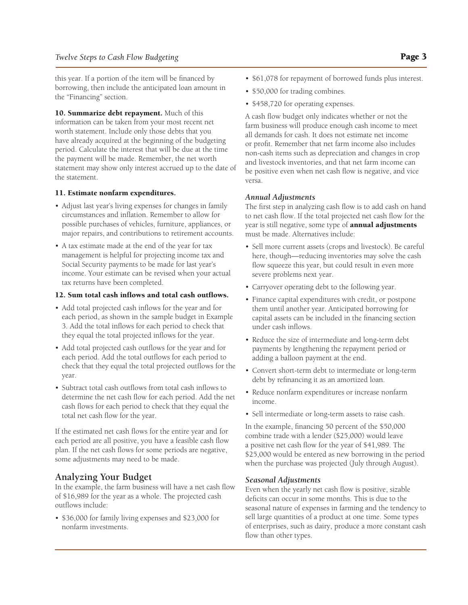this year. If a portion of the item will be financed by borrowing, then include the anticipated loan amount in the "Financing" section.

10. Summarize debt repayment. Much of this information can be taken from your most recent net worth statement. Include only those debts that you have already acquired at the beginning of the budgeting period. Calculate the interest that will be due at the time the payment will be made. Remember, the net worth statement may show only interest accrued up to the date of the statement.

#### 11. Estimate nonfarm expenditures.

- Adjust last year's living expenses for changes in family circumstances and inflation. Remember to allow for possible purchases of vehicles, furniture, appliances, or major repairs, and contributions to retirement accounts.
- A tax estimate made at the end of the year for tax management is helpful for projecting income tax and Social Security payments to be made for last year's income. Your estimate can be revised when your actual tax returns have been completed.

#### 12. Sum total cash inflows and total cash outflows.

- • Add total projected cash inflows for the year and for each period, as shown in the sample budget in Example 3. Add the total inflows for each period to check that they equal the total projected inflows for the year.
- Add total projected cash outflows for the year and for each period. Add the total outflows for each period to check that they equal the total projected outflows for the year.
- Subtract total cash outflows from total cash inflows to determine the net cash flow for each period. Add the net cash flows for each period to check that they equal the total net cash flow for the year.

If the estimated net cash flows for the entire year and for each period are all positive, you have a feasible cash flow plan. If the net cash flows for some periods are negative, some adjustments may need to be made.

#### **Analyzing Your Budget**

In the example, the farm business will have a net cash flow of \$16,989 for the year as a whole. The projected cash outflows include:

• \$36,000 for family living expenses and \$23,000 for nonfarm investments.

- \$61,078 for repayment of borrowed funds plus interest.
- \$50,000 for trading combines.
- \$458,720 for operating expenses.

A cash flow budget only indicates whether or not the farm business will produce enough cash income to meet all demands for cash. It does not estimate net income or profit. Remember that net farm income also includes non-cash items such as depreciation and changes in crop and livestock inventories, and that net farm income can be positive even when net cash flow is negative, and vice versa.

#### *Annual Adjustments*

The first step in analyzing cash flow is to add cash on hand to net cash flow. If the total projected net cash flow for the year is still negative, some type of **annual adjustments** must be made. Alternatives include:

- Sell more current assets (crops and livestock). Be careful here, though—reducing inventories may solve the cash flow squeeze this year, but could result in even more severe problems next year.
- • Carryover operating debt to the following year.
- • Finance capital expenditures with credit, or postpone them until another year. Anticipated borrowing for capital assets can be included in the financing section under cash inflows.
- • Reduce the size of intermediate and long-term debt payments by lengthening the repayment period or adding a balloon payment at the end.
- • Convert short-term debt to intermediate or long-term debt by refinancing it as an amortized loan.
- • Reduce nonfarm expenditures or increase nonfarm income.
- Sell intermediate or long-term assets to raise cash.

In the example, financing 50 percent of the \$50,000 combine trade with a lender (\$25,000) would leave a positive net cash flow for the year of \$41,989. The \$25,000 would be entered as new borrowing in the period when the purchase was projected (July through August).

#### *Seasonal Adjustments*

Even when the yearly net cash flow is positive, sizable deficits can occur in some months. This is due to the seasonal nature of expenses in farming and the tendency to sell large quantities of a product at one time. Some types of enterprises, such as dairy, produce a more constant cash flow than other types.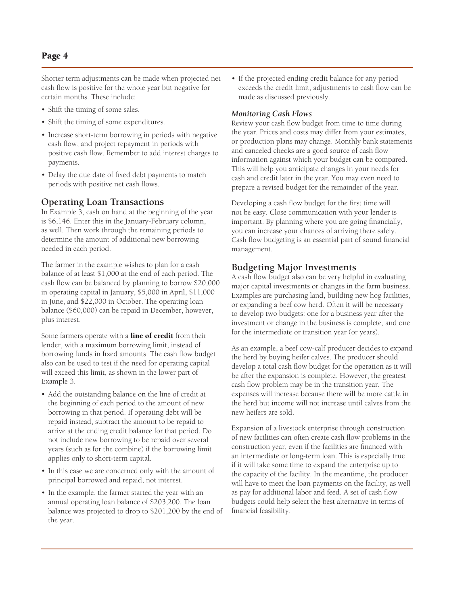Shorter term adjustments can be made when projected net cash flow is positive for the whole year but negative for certain months. These include:

- Shift the timing of some sales.
- Shift the timing of some expenditures.
- Increase short-term borrowing in periods with negative cash flow, and project repayment in periods with positive cash flow. Remember to add interest charges to payments.
- Delay the due date of fixed debt payments to match periods with positive net cash flows.

#### **Operating Loan Transactions**

In Example 3, cash on hand at the beginning of the year is \$6,146. Enter this in the January-February column, as well. Then work through the remaining periods to determine the amount of additional new borrowing needed in each period.

The farmer in the example wishes to plan for a cash balance of at least \$1,000 at the end of each period. The cash flow can be balanced by planning to borrow \$20,000 in operating capital in January, \$5,000 in April, \$11,000 in June, and \$22,000 in October. The operating loan balance (\$60,000) can be repaid in December, however, plus interest.

Some farmers operate with a **line of credit** from their lender, with a maximum borrowing limit, instead of borrowing funds in fixed amounts. The cash flow budget also can be used to test if the need for operating capital will exceed this limit, as shown in the lower part of Example 3.

- Add the outstanding balance on the line of credit at the beginning of each period to the amount of new borrowing in that period. If operating debt will be repaid instead, subtract the amount to be repaid to arrive at the ending credit balance for that period. Do not include new borrowing to be repaid over several years (such as for the combine) if the borrowing limit applies only to short-term capital.
- In this case we are concerned only with the amount of principal borrowed and repaid, not interest.
- In the example, the farmer started the year with an annual operating loan balance of \$203,200. The loan balance was projected to drop to \$201,200 by the end of the year.

• If the projected ending credit balance for any period exceeds the credit limit, adjustments to cash flow can be made as discussed previously.

#### *Monitoring Cash Flows*

Review your cash flow budget from time to time during the year. Prices and costs may differ from your estimates, or production plans may change. Monthly bank statements and canceled checks are a good source of cash flow information against which your budget can be compared. This will help you anticipate changes in your needs for cash and credit later in the year. You may even need to prepare a revised budget for the remainder of the year.

Developing a cash flow budget for the first time will not be easy. Close communication with your lender is important. By planning where you are going financially, you can increase your chances of arriving there safely. Cash flow budgeting is an essential part of sound financial management.

#### **Budgeting Major Investments**

A cash flow budget also can be very helpful in evaluating major capital investments or changes in the farm business. Examples are purchasing land, building new hog facilities, or expanding a beef cow herd. Often it will be necessary to develop two budgets: one for a business year after the investment or change in the business is complete, and one for the intermediate or transition year (or years).

As an example, a beef cow-calf producer decides to expand the herd by buying heifer calves. The producer should develop a total cash flow budget for the operation as it will be after the expansion is complete. However, the greatest cash flow problem may be in the transition year. The expenses will increase because there will be more cattle in the herd but income will not increase until calves from the new heifers are sold.

Expansion of a livestock enterprise through construction of new facilities can often create cash flow problems in the construction year, even if the facilities are financed with an intermediate or long-term loan. This is especially true if it will take some time to expand the enterprise up to the capacity of the facility. In the meantime, the producer will have to meet the loan payments on the facility, as well as pay for additional labor and feed. A set of cash flow budgets could help select the best alternative in terms of financial feasibility.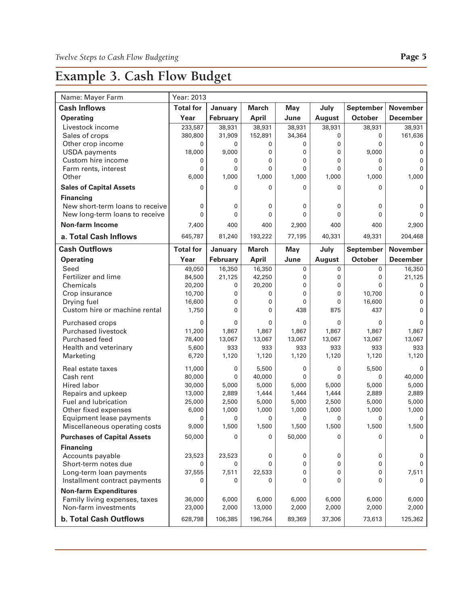### **Example 3. Cash Flow Budget**

| Name: Mayer Farm                                         | Year: 2013        |              |                 |            |                       |                  |                        |
|----------------------------------------------------------|-------------------|--------------|-----------------|------------|-----------------------|------------------|------------------------|
| <b>Cash Inflows</b>                                      | <b>Total for</b>  | January      | <b>March</b>    | <b>May</b> | July                  | <b>September</b> | <b>November</b>        |
| <b>Operating</b>                                         | Year              | February     | <b>April</b>    | June       | <b>August</b>         | October          | <b>December</b>        |
| Livestock income                                         | 233,587           | 38,931       | 38,931          | 38,931     | 38,931                | 38,931           | 38,931                 |
| Sales of crops                                           | 380,800           | 31,909       | 152,891         | 34,364     | 0                     | 0                | 161,636                |
| Other crop income                                        | $\mathbf{0}$      | $\mathbf{0}$ | 0               | 0          | 0                     | $\Omega$         | 0                      |
| <b>USDA</b> payments                                     | 18,000            | 9,000        | 0               | 0          | 0                     | 9,000            | 0                      |
| Custom hire income                                       | 0                 | 0            | 0               | 0          | $\mathbf{0}$          | 0                | $\mathbf{0}$           |
| Farm rents, interest                                     | 0                 | 0            | 0               | 0          | 0                     | 0                | 0                      |
| Other                                                    | 6,000             | 1,000        | 1,000           | 1,000      | 1,000                 | 1,000            | 1,000                  |
| <b>Sales of Capital Assets</b>                           | $\mathbf{0}$      | 0            | 0               | 0          | $\Omega$              | 0                | 0                      |
| <b>Financing</b>                                         |                   |              |                 |            |                       |                  |                        |
| New short-term loans to receive                          | 0<br>$\mathbf{0}$ | 0<br>0       | 0<br>0          | 0<br>0     | 0<br>$\mathbf{0}$     | 0<br>0           | 0<br>0                 |
| New long-term loans to receive<br><b>Non-farm Income</b> | 7,400             | 400          | 400             | 2,900      | 400                   | 400              | 2,900                  |
|                                                          |                   |              |                 |            |                       |                  |                        |
| a. Total Cash Inflows                                    | 645,787           | 81,240       | 193,222         | 77,195     | 40,331                | 49,331           | 204,468                |
| <b>Cash Outflows</b>                                     | <b>Total for</b>  | January      | <b>March</b>    | <b>May</b> | July                  | <b>September</b> | <b>November</b>        |
| <b>Operating</b>                                         | Year              | February     | <b>April</b>    | June       | <b>August</b>         | <b>October</b>   | <b>December</b>        |
| Seed                                                     | 49,050            | 16,350       | 16,350          | 0          | 0                     | 0                | 16,350                 |
| Fertilizer and lime<br>Chemicals                         | 84,500            | 21,125<br>0  | 42,250          | 0<br>0     | 0<br>0                | 0<br>0           | 21,125<br>$\mathbf{0}$ |
| Crop insurance                                           | 20,200<br>10,700  | 0            | 20,200<br>0     | 0          | 0                     | 10,700           | $\mathbf 0$            |
| Drying fuel                                              | 16,600            | 0            | 0               | 0          | 0                     | 16,600           | 0                      |
| Custom hire or machine rental                            | 1,750             | $\mathbf{0}$ | 0               | 438        | 875                   | 437              | 0                      |
|                                                          |                   |              |                 |            |                       |                  |                        |
| Purchased crops<br><b>Purchased livestock</b>            | 0<br>11,200       | 0<br>1,867   | 0<br>1,867      | 0<br>1,867 | $\mathbf{0}$<br>1,867 | 0<br>1,867       | $\mathbf 0$<br>1,867   |
| <b>Purchased feed</b>                                    | 78,400            | 13,067       | 13,067          | 13,067     | 13,067                | 13,067           | 13,067                 |
| Health and veterinary                                    | 5,600             | 933          | 933             | 933        | 933                   | 933              | 933                    |
| Marketing                                                | 6,720             | 1,120        | 1,120           | 1,120      | 1,120                 | 1,120            | 1,120                  |
|                                                          |                   |              |                 |            |                       |                  |                        |
| Real estate taxes<br>Cash rent                           | 11,000            | 0<br>0       | 5,500           | 0<br>0     | 0<br>$\Omega$         | 5,500<br>0       | 0                      |
| <b>Hired labor</b>                                       | 80,000<br>30,000  | 5,000        | 40,000<br>5,000 | 5,000      | 5,000                 | 5,000            | 40,000<br>5,000        |
| Repairs and upkeep                                       | 13,000            | 2,889        | 1,444           | 1,444      | 1,444                 | 2,889            | 2,889                  |
| Fuel and lubrication                                     | 25,000            | 2,500        | 5,000           | 5,000      | 2,500                 | 5,000            | 5,000                  |
| Other fixed expenses                                     | 6,000             | 1,000        | 1,000           | 1,000      | 1,000                 | 1,000            | 1,000                  |
| Equipment lease payments                                 | 0                 | 0            | 0               | 0          | 0                     | 0                | 0                      |
| Miscellaneous operating costs                            | 9,000             | 1,500        | 1,500           | 1,500      | 1,500                 | 1,500            | 1,500                  |
| <b>Purchases of Capital Assets</b>                       | 50,000            | 0            | 0               | 50,000     | 0                     | 0                | 0                      |
| <b>Financing</b>                                         |                   |              |                 |            |                       |                  |                        |
| Accounts payable                                         | 23,523            | 23,523       | 0               | 0          | 0                     | 0                | 0                      |
| Short-term notes due                                     | 0                 | 0            | 0               | 0          | 0                     | 0                | 0                      |
| Long-term loan payments                                  | 37,555            | 7,511        | 22,533          | 0          | 0                     | 0                | 7,511                  |
| Installment contract payments                            | 0                 | 0            | 0               | 0          | 0                     | 0                | 0                      |
| <b>Non-farm Expenditures</b>                             |                   |              |                 |            |                       |                  |                        |
| Family living expenses, taxes                            | 36,000            | 6,000        | 6,000           | 6,000      | 6,000                 | 6,000            | 6,000                  |
| Non-farm investments                                     | 23,000            | 2,000        | 13,000          | 2,000      | 2,000                 | 2,000            | 2,000                  |
| <b>b. Total Cash Outflows</b>                            | 628,798           | 106,385      | 196,764         | 89,369     | 37,306                | 73,613           | 125,362                |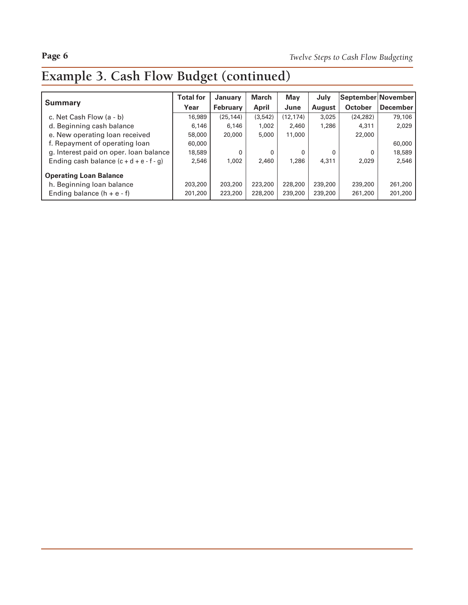## **Example 3. Cash Flow Budget (continued)**

|                                           | <b>Total for</b> | <b>January</b>  | March   | May       | July    | September November |                 |
|-------------------------------------------|------------------|-----------------|---------|-----------|---------|--------------------|-----------------|
| <b>Summary</b>                            | Year             | <b>February</b> | April   | June      | August  | <b>October</b>     | <b>December</b> |
| c. Net Cash Flow (a - b)                  | 16,989           | (25, 144)       | (3,542) | (12, 174) | 3,025   | (24, 282)          | 79,106          |
| d. Beginning cash balance                 | 6,146            | 6,146           | 1,002   | 2,460     | 1,286   | 4,311              | 2,029           |
| e. New operating loan received            | 58,000           | 20,000          | 5,000   | 11,000    |         | 22,000             |                 |
| f. Repayment of operating loan            | 60,000           |                 |         |           |         |                    | 60,000          |
| g. Interest paid on oper. Ioan balance    | 18,589           | $\Omega$        | 0       | 0         | 0       | 0                  | 18,589          |
| Ending cash balance $(c + d + e - f - g)$ | 2.546            | 1,002           | 2,460   | 1,286     | 4,311   | 2,029              | 2.546           |
| <b>Operating Loan Balance</b>             |                  |                 |         |           |         |                    |                 |
| h. Beginning loan balance                 | 203,200          | 203,200         | 223,200 | 228,200   | 239,200 | 239,200            | 261,200         |
| Ending balance $(h + e - f)$              | 201,200          | 223,200         | 228,200 | 239,200   | 239,200 | 261,200            | 201,200         |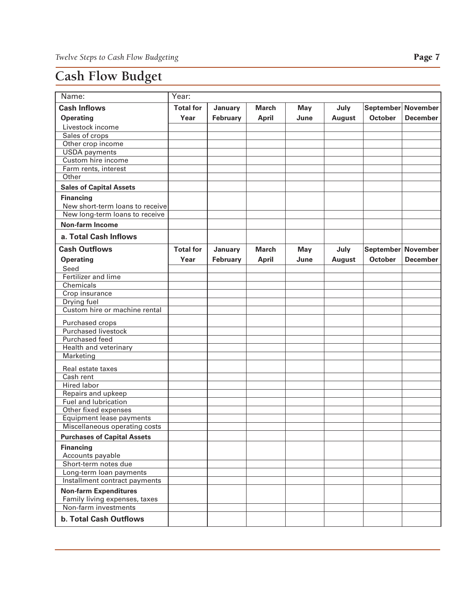### **Cash Flow Budget**

| Name:                                                         | Year:            |                 |              |            |               |                |                    |
|---------------------------------------------------------------|------------------|-----------------|--------------|------------|---------------|----------------|--------------------|
| <b>Cash Inflows</b>                                           | <b>Total for</b> | January         | <b>March</b> | <b>May</b> | July          |                | September November |
| <b>Operating</b>                                              | Year             | February        | <b>April</b> | June       | <b>August</b> | <b>October</b> | <b>December</b>    |
| Livestock income                                              |                  |                 |              |            |               |                |                    |
| Sales of crops                                                |                  |                 |              |            |               |                |                    |
| Other crop income                                             |                  |                 |              |            |               |                |                    |
| <b>USDA</b> payments                                          |                  |                 |              |            |               |                |                    |
| Custom hire income                                            |                  |                 |              |            |               |                |                    |
| Farm rents, interest                                          |                  |                 |              |            |               |                |                    |
| Other                                                         |                  |                 |              |            |               |                |                    |
| <b>Sales of Capital Assets</b>                                |                  |                 |              |            |               |                |                    |
| <b>Financing</b><br>New short-term loans to receive           |                  |                 |              |            |               |                |                    |
| New long-term loans to receive                                |                  |                 |              |            |               |                |                    |
| <b>Non-farm Income</b>                                        |                  |                 |              |            |               |                |                    |
| a. Total Cash Inflows                                         |                  |                 |              |            |               |                |                    |
| <b>Cash Outflows</b>                                          | <b>Total for</b> | January         | <b>March</b> | <b>May</b> | July          |                | September November |
| <b>Operating</b>                                              | Year             | <b>February</b> | <b>April</b> | June       | <b>August</b> | <b>October</b> | <b>December</b>    |
| Seed                                                          |                  |                 |              |            |               |                |                    |
| Fertilizer and lime                                           |                  |                 |              |            |               |                |                    |
| Chemicals                                                     |                  |                 |              |            |               |                |                    |
| Crop insurance                                                |                  |                 |              |            |               |                |                    |
| Drying fuel                                                   |                  |                 |              |            |               |                |                    |
| Custom hire or machine rental                                 |                  |                 |              |            |               |                |                    |
| Purchased crops                                               |                  |                 |              |            |               |                |                    |
| <b>Purchased livestock</b>                                    |                  |                 |              |            |               |                |                    |
| Purchased feed                                                |                  |                 |              |            |               |                |                    |
| <b>Health and veterinary</b>                                  |                  |                 |              |            |               |                |                    |
| Marketing                                                     |                  |                 |              |            |               |                |                    |
| Real estate taxes                                             |                  |                 |              |            |               |                |                    |
| Cash rent                                                     |                  |                 |              |            |               |                |                    |
| Hired labor                                                   |                  |                 |              |            |               |                |                    |
| Repairs and upkeep                                            |                  |                 |              |            |               |                |                    |
| Fuel and lubrication                                          |                  |                 |              |            |               |                |                    |
| Other fixed expenses                                          |                  |                 |              |            |               |                |                    |
| Equipment lease payments                                      |                  |                 |              |            |               |                |                    |
| Miscellaneous operating costs                                 |                  |                 |              |            |               |                |                    |
| <b>Purchases of Capital Assets</b>                            |                  |                 |              |            |               |                |                    |
| <b>Financing</b>                                              |                  |                 |              |            |               |                |                    |
| Accounts payable                                              |                  |                 |              |            |               |                |                    |
| Short-term notes due                                          |                  |                 |              |            |               |                |                    |
| Long-term loan payments                                       |                  |                 |              |            |               |                |                    |
| Installment contract payments                                 |                  |                 |              |            |               |                |                    |
| <b>Non-farm Expenditures</b><br>Family living expenses, taxes |                  |                 |              |            |               |                |                    |
| Non-farm investments                                          |                  |                 |              |            |               |                |                    |
| <b>b. Total Cash Outflows</b>                                 |                  |                 |              |            |               |                |                    |